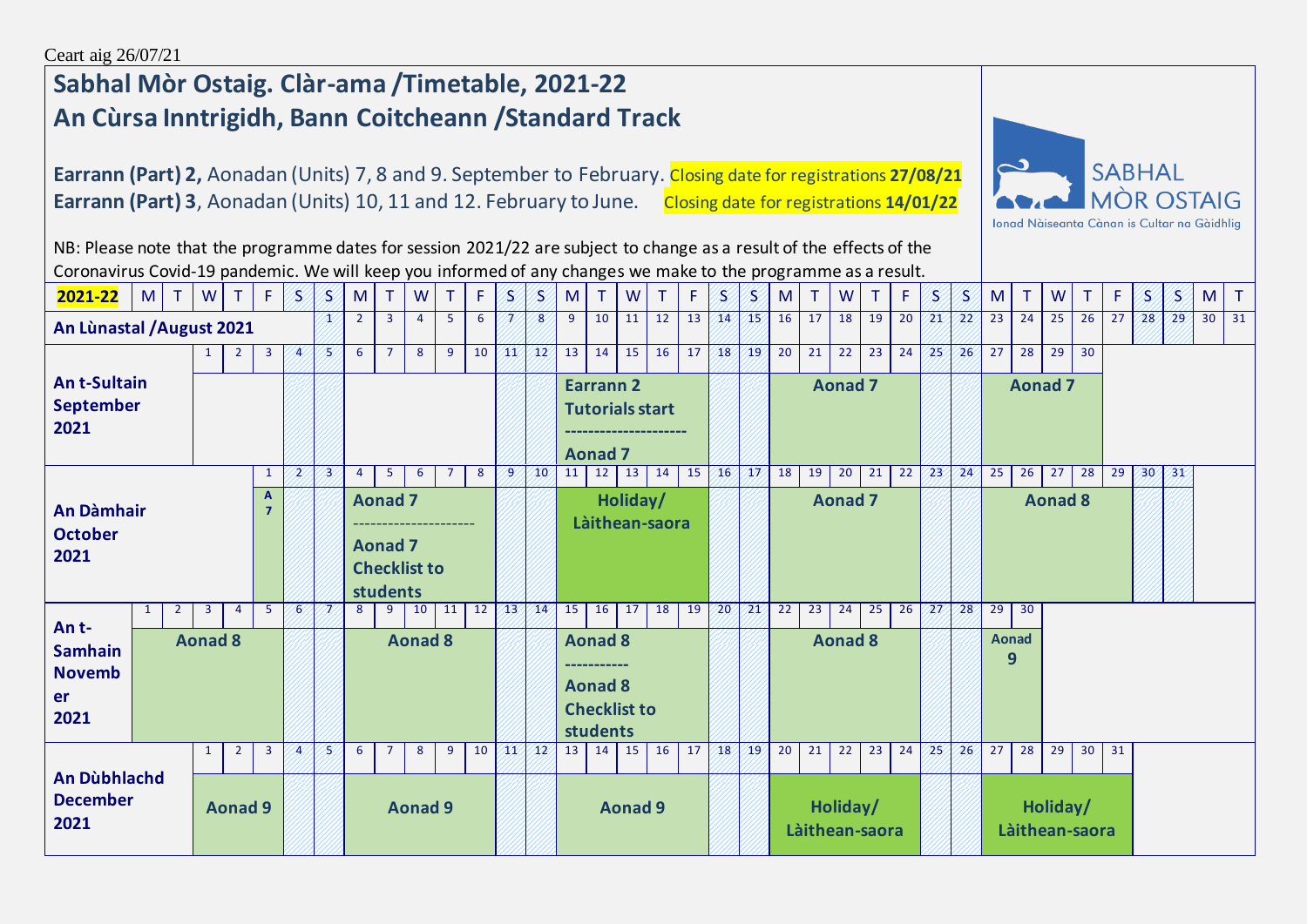## **Sabhal Mòr Ostaig. Clàr-ama /Timetable, 2021-22 An Cùrsa Inntrigidh, Bann Coitcheann /Standard Track**

**Earrann (Part) 2,** Aonadan (Units) 7, 8 and 9. September to February. Closing date for registrations **27/08/21 Earrann (Part) 3**, Aonadan (Units) 10, 11 and 12. February to June. Closing date for registrations 14/01/22



NB: Please note that the programme dates for session 2021/22 are subject to change as a result of the effects of the Coronavirus Covid-19 pandemic. We will keep you informed of any changes we make to the programme as a result.

| 2021-22                                              | M              | T.             | W            | T              | F.             | 8.             | 8. | M              |                                              | W                   |    | F. | B.             | B.              | M  | T.                                                                  | W              | т              | F  | 8.              | S           | M              | T.             | W              | T. | F.              | 8.          | 8.              | M                 | T  | W                          |                 | F.              | S  | S  | M               | $\mathsf{T}$ |
|------------------------------------------------------|----------------|----------------|--------------|----------------|----------------|----------------|----|----------------|----------------------------------------------|---------------------|----|----|----------------|-----------------|----|---------------------------------------------------------------------|----------------|----------------|----|-----------------|-------------|----------------|----------------|----------------|----|-----------------|-------------|-----------------|-------------------|----|----------------------------|-----------------|-----------------|----|----|-----------------|--------------|
| An Lùnastal / August 2021                            |                |                |              |                |                |                | æ  | $\overline{2}$ | $\mathbf{3}$                                 | $\overline{4}$      | 5  | 6  |                | 8               | 9  | 10                                                                  | 11             | 12             | 13 | 14              | 45          | 16             | 17             | 18             | 19 | 20              | $\sqrt{21}$ | 22 <sup>2</sup> | 23                | 24 | 25                         | 26              | 27              | 28 | 29 | 30 <sup>1</sup> | 31           |
|                                                      |                |                |              |                | 3              | $\overline{4}$ | 8  | 6              | $\overline{7}$                               | 8                   | 9  | 10 | 41             | 42 <sup>°</sup> | 13 | 14                                                                  | 15             | 16             | 17 | 18              | $\sqrt{19}$ | 20             | 21             | 22             | 23 | 24              | $\sqrt{25}$ | 26              | 27                | 28 | 29                         | 30              |                 |    |    |                 |              |
| <b>Ant-Sultain</b><br><b>September</b><br>2021       |                |                |              |                |                |                |    |                |                                              |                     |    |    |                |                 |    | <b>Earrann 2</b><br><b>Tutorials start</b><br><b>Aonad 7</b>        |                |                |    |                 |             | <b>Aonad 7</b> |                |                |    |                 |             |                 |                   |    | <b>Aonad 7</b>             |                 |                 |    |    |                 |              |
|                                                      |                |                |              |                | 1              | 2              | 23 | $\overline{4}$ | 5                                            | 6                   | 7  | 8  | $\overline{9}$ | 10              | 11 | $12 \mid 13 \mid$                                                   |                | 14             | 15 | 46 <sub>2</sub> | $\sqrt{17}$ | 18             | 19             | 20             | 21 | $\overline{22}$ | $\sqrt{23}$ | 24              | 25                | 26 | 27                         | 28              | $\overline{29}$ | 30 | 31 |                 |              |
| <b>An Dàmhair</b><br><b>October</b><br>2021          |                |                |              |                | A              |                |    |                | <b>Aonad 7</b><br><b>Aonad 7</b><br>students | <b>Checklist to</b> |    |    |                |                 |    |                                                                     | Holiday/       | Làithean-saora |    |                 |             |                |                | <b>Aonad 7</b> |    |                 |             |                 |                   |    | <b>Aonad 8</b>             |                 |                 |    |    |                 |              |
| An t-                                                |                | $\overline{2}$ | $\mathbf{3}$ | $\overline{4}$ | -5             | -6             | N  | 8              | 9                                            | 10                  | 11 | 12 | /13            | 14              | 15 | 16                                                                  | 17             | 18             | 19 | 20              | $\sqrt{21}$ | 22             | 23             | 24             | 25 | 26              | $\sqrt{27}$ | 28              | 29                | 30 |                            |                 |                 |    |    |                 |              |
| <b>Samhain</b><br><b>Novemb</b><br><b>er</b><br>2021 | <b>Aonad 8</b> |                |              |                |                |                |    |                |                                              | <b>Aonad 8</b>      |    |    |                |                 |    | <b>Aonad 8</b><br><b>Aonad 8</b><br><b>Checklist to</b><br>students |                |                |    |                 |             |                |                | <b>Aonad 8</b> |    |                 |             |                 | <b>Aonad</b><br>9 |    |                            |                 |                 |    |    |                 |              |
|                                                      |                |                | $\mathbf{1}$ | $\overline{2}$ | $\overline{3}$ | $\overline{A}$ | 8  | 6              | -7                                           | 8                   | 9  | 10 | W.             | $\sqrt{12}$     | 13 | 14                                                                  | 15             | 16             | 17 | 18              | 19          | 20             | 21             | 22             | 23 | 24              | $\sqrt{25}$ | 26              | 27                | 28 | 29                         | 30 <sup>1</sup> | 31              |    |    |                 |              |
| An Dùbhlachd<br><b>December</b><br>2021              |                | <b>Aonad 9</b> |              |                |                |                |    |                |                                              | <b>Aonad 9</b>      |    |    |                |                 |    |                                                                     | <b>Aonad 9</b> |                |    |                 |             |                | Làithean-saora | Holiday/       |    |                 |             |                 |                   |    | Holiday/<br>Làithean-saora |                 |                 |    |    |                 |              |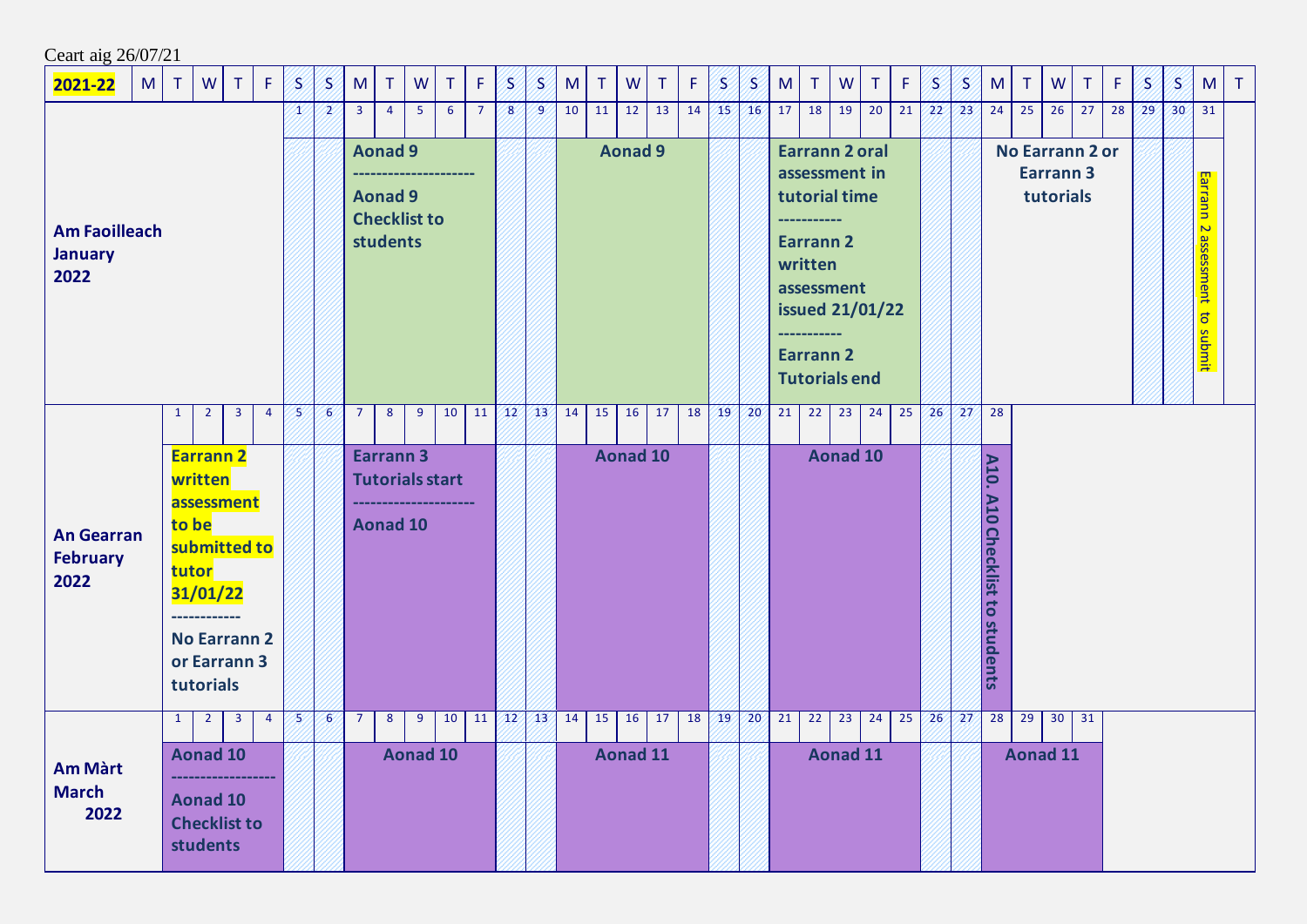| Ceart aig 26/07/21                             |                              |              |                           |                                                                                                                                |                |    |                |                |                                                                     |             |                        |                |                        |                 |    |        |                |                       |             |             |                 |                                                                                                                                                                                        |        |                       |    |    |    |    |                                   |                       |                               |                        |    |    |                 |                                |        |
|------------------------------------------------|------------------------------|--------------|---------------------------|--------------------------------------------------------------------------------------------------------------------------------|----------------|----|----------------|----------------|---------------------------------------------------------------------|-------------|------------------------|----------------|------------------------|-----------------|----|--------|----------------|-----------------------|-------------|-------------|-----------------|----------------------------------------------------------------------------------------------------------------------------------------------------------------------------------------|--------|-----------------------|----|----|----|----|-----------------------------------|-----------------------|-------------------------------|------------------------|----|----|-----------------|--------------------------------|--------|
| 2021-22                                        | M<br>W<br>F.<br>$\top$<br>T. |              |                           |                                                                                                                                |                | S  | S              | M              | $\top$                                                              | W           | T                      | F.             | 8)                     | 8.              | M  | $\top$ | W              | $\top$                | $\mathsf F$ | S           | S               | M                                                                                                                                                                                      | $\top$ | W                     | T  | F. | S  | S  | M                                 | T.                    | W                             | T.                     | F. | B. | S               | M                              | $\top$ |
|                                                |                              |              |                           |                                                                                                                                |                | x  | 2              | $\mathbf{3}$   | $\overline{4}$                                                      | $5^{\circ}$ | 6                      | $\overline{7}$ | 8                      | $\overline{9}$  | 10 | 11     | 12             | 13                    | 14          | /15/        | 16 <sup>′</sup> | 17 <sup>1</sup>                                                                                                                                                                        | 18     | 19                    | 20 | 21 | 22 | 23 | 24                                | 25                    | 26                            | 27                     | 28 | 29 | 30 <sup>′</sup> | 31                             |        |
| <b>Am Faoilleach</b><br><b>January</b><br>2022 |                              |              |                           |                                                                                                                                |                |    |                |                | <b>Aonad 9</b><br><b>Aonad 9</b><br><b>Checklist to</b><br>students |             |                        |                |                        |                 |    |        | <b>Aonad 9</b> |                       |             |             |                 | <b>Earrann 2 oral</b><br>assessment in<br>tutorial time<br>--------<br><b>Earrann 2</b><br>written<br>assessment<br><b>issued 21/01/22</b><br><b>Earrann 2</b><br><b>Tutorials end</b> |        |                       |    |    |    |    |                                   |                       | <b>Earrann 3</b><br>tutorials | <b>No Earrann 2 or</b> |    |    |                 | Earrann 2 assessment to submit |        |
|                                                |                              | 1            | $\overline{2}$            | $\overline{\mathbf{3}}$                                                                                                        | $\overline{4}$ | B. | 6 <sup>′</sup> | $\overline{7}$ | 8                                                                   | 9           | 10                     | 11             | $\mathbf{12}^{\prime}$ | 43 <sup>′</sup> | 14 | 15     | 16             | 17                    | 18          | /19/        | 20 <sub>2</sub> | 21                                                                                                                                                                                     | 22     | 23                    | 24 | 25 | 26 | 27 | 28                                |                       |                               |                        |    |    |                 |                                |        |
| <b>An Gearran</b><br><b>February</b><br>2022   |                              |              | written<br>to be<br>tutor | <b>Earrann 2</b><br>assessment<br>submitted to<br>31/01/22<br>------------<br><b>No Earrann 2</b><br>or Earrann 3<br>tutorials |                |    |                |                | <b>Earrann 3</b><br><b>Aonad 10</b>                                 |             | <b>Tutorials start</b> |                |                        |                 |    |        |                | <b>Aonad 10</b>       |             |             |                 |                                                                                                                                                                                        |        | <b>Aonad 10</b>       |    |    |    |    | A10.<br>A10 Checklist to students |                       |                               |                        |    |    |                 |                                |        |
| <b>Am Màrt</b><br><b>March</b><br>2022         |                              | $\mathbf{1}$ | $\overline{2}$            | $\overline{\mathbf{3}}$<br><b>Aonad 10</b><br><b>Aonad 10</b><br><b>Checklist to</b><br>students                               | 4              | 5  | $\sim$         | 7              | 8                                                                   | 9           | 10<br><b>Aonad 10</b>  | 11             | $\sqrt{12}$            | 43 <sup>′</sup> | 14 | 15     | 16             | 17<br><b>Aonad 11</b> | 18          | $\sqrt{19}$ | 20 <sup>7</sup> | 21                                                                                                                                                                                     | 22     | 23<br><b>Aonad 11</b> | 24 | 25 | 26 | 27 | 28                                | 29<br><b>Aonad 11</b> | 30                            | 31                     |    |    |                 |                                |        |